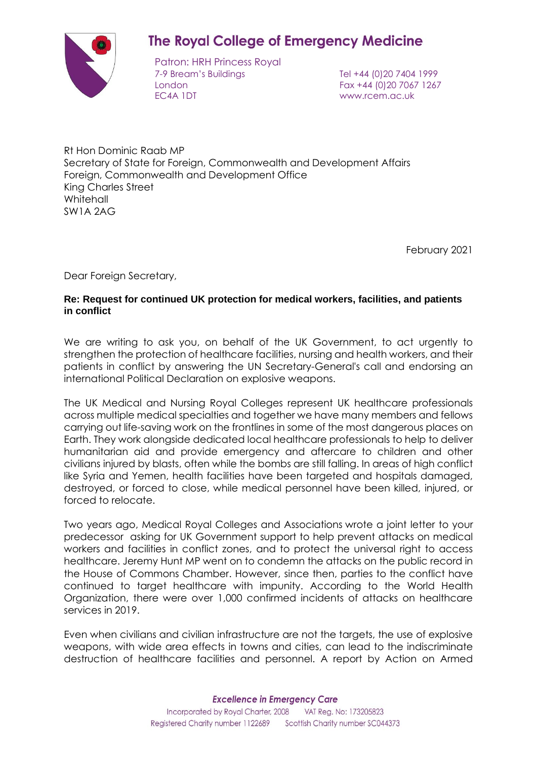## **The Royal College of Emergency Medicine**

Patron: HRH Princess Royal 7-9 Bream's Buildings Tel +44 (0)20 7404 1999 London Fax +44 (0)20 7067 1267 EC4A 1DT www.rcem.ac.uk

Rt Hon Dominic Raab MP Secretary of State for Foreign, Commonwealth and Development Affairs Foreign, Commonwealth and Development Office King Charles Street **Whitehall** SW1A 2AG

February 2021

Dear Foreign Secretary,

## **Re: Request for continued UK protection for medical workers, facilities, and patients in conflict**

We are writing to ask you, on behalf of the UK Government, to act urgently to strengthen the protection of healthcare facilities, nursing and health workers, and their patients in conflict by answering the UN Secretary-General's call and endorsing an international Political Declaration on explosive weapons.

The UK Medical and Nursing Royal Colleges represent UK healthcare professionals across multiple medical specialties and together we have many members and fellows carrying out life-saving work on the frontlines in some of the most dangerous places on Earth. They work alongside dedicated local healthcare professionals to help to deliver humanitarian aid and provide emergency and aftercare to children and other civilians injured by blasts, often while the bombs are still falling. In areas of high conflict like Syria and Yemen, health facilities have been targeted and hospitals damaged, destroyed, or forced to close, while medical personnel have been killed, injured, or forced to relocate.

Two years ago, Medical Royal Colleges and Associations [wrote a joint letter](http://www.rcem.ac.uk/docs/About/Colombo_Declaration_Letter.pdf) to your predecessor asking for UK Government support to help prevent attacks on medical workers and facilities in conflict zones, and to protect the universal right to access healthcare. Jeremy Hunt MP went on to condemn the attacks on the public record in the House of Commons Chamber. However, since then, parties to the conflict have continued to target healthcare with impunity. According to the World Health Organization, there were over 1,000 confirmed incidents of attacks on healthcare services in 2019.

Even when civilians and civilian infrastructure are not the targets, the use of explosive weapons, with wide area effects in towns and cities, can lead to the indiscriminate destruction of healthcare facilities and personnel. A report by Action on Armed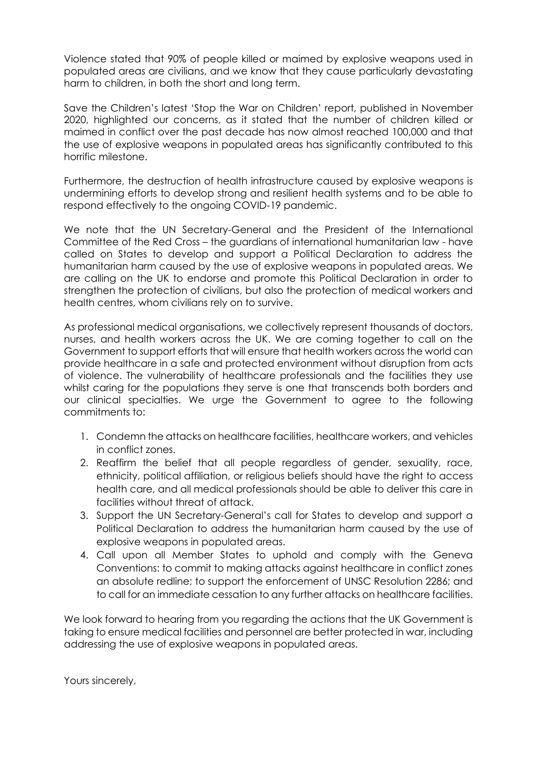Violence stated that 90% of people killed or maimed by explosive weapons used in populated areas are civilians, and we know that they cause particularly devastating harm to children, in both the short and long term.

Save the Children's latest 'Stop the War on Children' report, published in November 2020, highlighted our concerns, as it stated that the number of children killed or maimed in conflict over the past decade has now almost reached 100,000 and that the use of explosive weapons in populated areas has significantly contributed to this horrific milestone.

Furthermore, the destruction of health infrastructure caused by explosive weapons is undermining efforts to develop strong and resilient health systems and to be able to respond effectively to the ongoing COVID-19 pandemic.

We note that the UN Secretary-General and the President of the International Committee of the Red Cross – the guardians of international humanitarian law - have called on States to develop and support a Political Declaration to address the humanitarian harm caused by the use of explosive weapons in populated areas. We are calling on the UK to endorse and promote this Political Declaration in order to strengthen the protection of civilians, but also the protection of medical workers and health centres, whom civilians rely on to survive.

As professional medical organisations, we collectively represent thousands of doctors, nurses, and health workers across the UK. We are coming together to call on the Government to support efforts that will ensure that health workers across the world can provide healthcare in a safe and protected environment without disruption from acts of violence. The vulnerability of healthcare professionals and the facilities they use whilst caring for the populations they serve is one that transcends both borders and our clinical specialties. We urge the Government to agree to the following commitments to:

- 1. Condemn the attacks on healthcare facilities, healthcare workers, and vehicles in conflict zones.
- 2. Reaffirm the belief that all people regardless of gender, sexuality, race, ethnicity, political affiliation, or religious beliefs should have the right to access health care, and all medical professionals should be able to deliver this care in facilities without threat of attack.
- 3. Support the UN Secretary-General's call for States to develop and support a Political Declaration to address the humanitarian harm caused by the use of explosive weapons in populated areas.
- 4. Call upon all Member States to uphold and comply with the Geneva Conventions: to commit to making attacks against healthcare in conflict zones an absolute redline; to support the enforcement of UNSC Resolution 2286; and to call for an immediate cessation to any further attacks on healthcare facilities.

We look forward to hearing from you regarding the actions that the UK Government is taking to ensure medical facilities and personnel are better protected in war, including addressing the use of explosive weapons in populated areas.

Yours sincerely,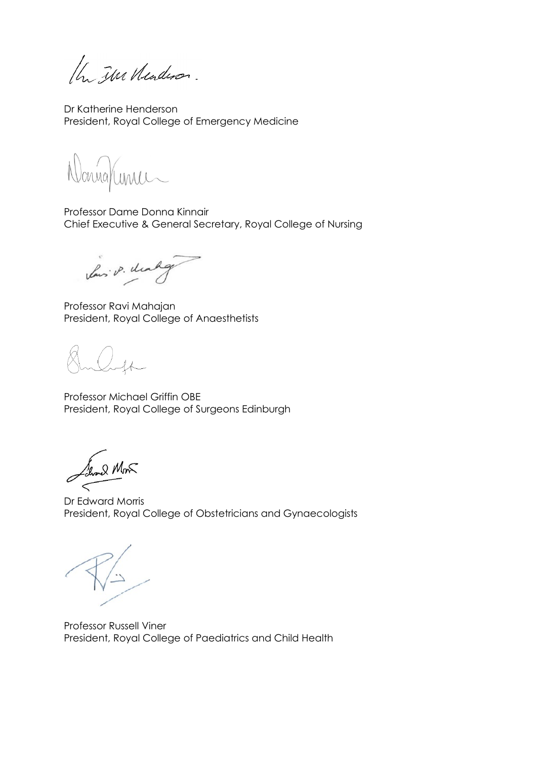the The Neuderon.

Dr Katherine Henderson President, Royal College of Emergency Medicine

onna/unic

Professor Dame Donna Kinnair Chief Executive & General Secretary, Royal College of Nursing

Lows P. Makg

Professor Ravi Mahajan President, Royal College of Anaesthetists

Professor Michael Griffin OBE President, Royal College of Surgeons Edinburgh

Show 2 Mon  $\,<\,$ 

Dr Edward Morris President, Royal College of Obstetricians and Gynaecologists

Professor Russell Viner President, Royal College of Paediatrics and Child Health